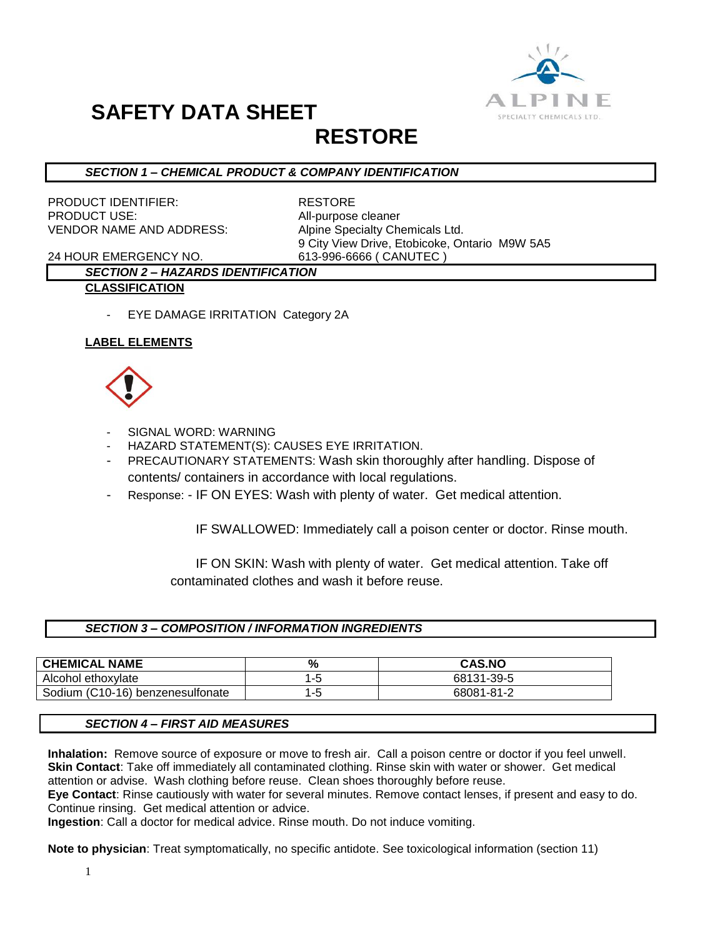

# **SAFETY DATA SHEET**

## **RESTORE**

## *SECTION 1 – CHEMICAL PRODUCT & COMPANY IDENTIFICATION*

PRODUCT IDENTIFIER: RESTORE PRODUCT USE: All-purpose cleaner VENDOR NAME AND ADDRESS: Alpine Specialty Chemicals Ltd.

9 City View Drive, Etobicoke, Ontario M9W 5A5

24 HOUR EMERGENCY NO. 613-996-6666 ( CANUTEC )

### *SECTION 2 – HAZARDS IDENTIFICATION* **CLASSIFICATION**

EYE DAMAGE IRRITATION Category 2A

## **LABEL ELEMENTS**



- SIGNAL WORD: WARNING
- HAZARD STATEMENT(S): CAUSES EYE IRRITATION.
- PRECAUTIONARY STATEMENTS: Wash skin thoroughly after handling. Dispose of contents/ containers in accordance with local regulations.
- Response: IF ON EYES: Wash with plenty of water. Get medical attention.

IF SWALLOWED: Immediately call a poison center or doctor. Rinse mouth.

 IF ON SKIN: Wash with plenty of water. Get medical attention. Take off contaminated clothes and wash it before reuse.

## *SECTION 3 – COMPOSITION / INFORMATION INGREDIENTS*

| <b>CHEMICAL NAME</b>             | %   | <b>CAS.NO</b> |
|----------------------------------|-----|---------------|
| Alcohol ethoxylate               |     | 68131-39-5    |
| Sodium (C10-16) benzenesulfonate | 1-5 | 68081-81-2    |

#### *SECTION 4 – FIRST AID MEASURES*

**Inhalation:** Remove source of exposure or move to fresh air. Call a poison centre or doctor if you feel unwell. **Skin Contact**: Take off immediately all contaminated clothing. Rinse skin with water or shower. Get medical attention or advise. Wash clothing before reuse. Clean shoes thoroughly before reuse.

**Eye Contact**: Rinse cautiously with water for several minutes. Remove contact lenses, if present and easy to do. Continue rinsing. Get medical attention or advice.

**Ingestion**: Call a doctor for medical advice. Rinse mouth. Do not induce vomiting.

**Note to physician**: Treat symptomatically, no specific antidote. See toxicological information (section 11)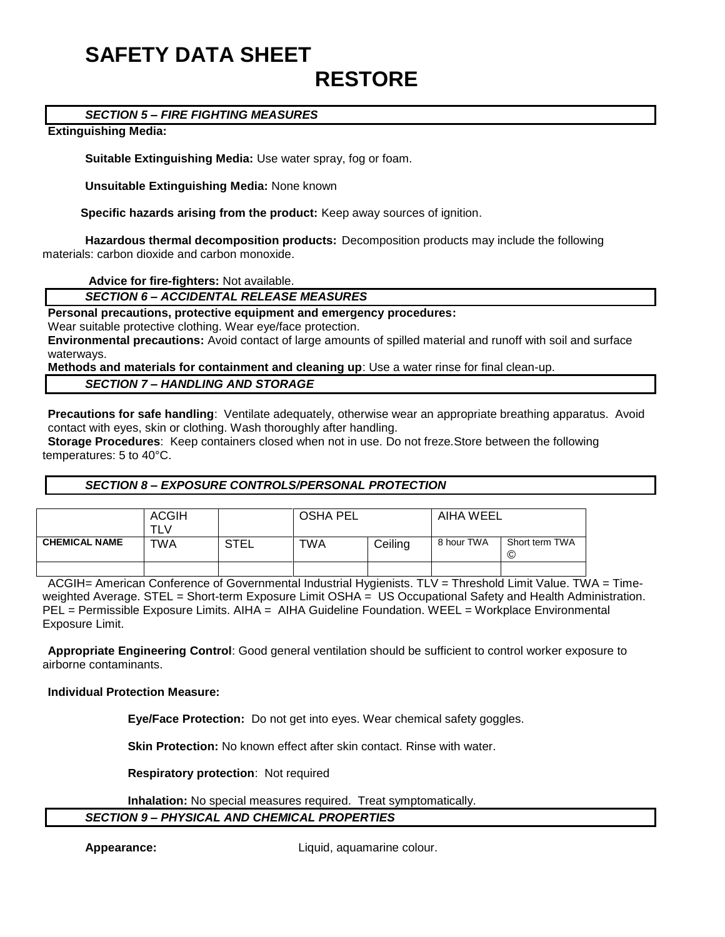## **SAFETY DATA SHEET RESTORE**

### *SECTION 5 – FIRE FIGHTING MEASURES*

#### **Extinguishing Media:**

**Suitable Extinguishing Media:** Use water spray, fog or foam.

**Unsuitable Extinguishing Media:** None known

 **Specific hazards arising from the product:** Keep away sources of ignition.

**Hazardous thermal decomposition products:** Decomposition products may include the following materials: carbon dioxide and carbon monoxide.

**Advice for fire-fighters:** Not available.

*SECTION 6 – ACCIDENTAL RELEASE MEASURES*

**Personal precautions, protective equipment and emergency procedures:**

Wear suitable protective clothing. Wear eye/face protection.

**Environmental precautions:** Avoid contact of large amounts of spilled material and runoff with soil and surface waterways.

**Methods and materials for containment and cleaning up**: Use a water rinse for final clean-up.

### *SECTION 7 – HANDLING AND STORAGE*

**Precautions for safe handling**: Ventilate adequately, otherwise wear an appropriate breathing apparatus. Avoid contact with eyes, skin or clothing. Wash thoroughly after handling.

**Storage Procedures**: Keep containers closed when not in use. Do not freze.Store between the following temperatures: 5 to 40°C.

#### *SECTION 8 – EXPOSURE CONTROLS/PERSONAL PROTECTION*

|                      | <b>ACGIH</b> |             | <b>OSHA PEL</b> |         | AIHA WEEL  |                     |
|----------------------|--------------|-------------|-----------------|---------|------------|---------------------|
| <b>CHEMICAL NAME</b> | TWA          | <b>STEL</b> | TWA             | Ceiling | 8 hour TWA | Short term TWA<br>© |
|                      |              |             |                 |         |            |                     |

ACGIH= American Conference of Governmental Industrial Hygienists. TLV = Threshold Limit Value. TWA = Timeweighted Average. STEL = Short-term Exposure Limit OSHA = US Occupational Safety and Health Administration. PEL = Permissible Exposure Limits. AIHA = AIHA Guideline Foundation. WEEL = Workplace Environmental Exposure Limit.

**Appropriate Engineering Control**: Good general ventilation should be sufficient to control worker exposure to airborne contaminants.

#### **Individual Protection Measure:**

**Eye/Face Protection:** Do not get into eyes. Wear chemical safety goggles.

**Skin Protection:** No known effect after skin contact. Rinse with water.

**Respiratory protection**: Not required

**Inhalation:** No special measures required. Treat symptomatically.

#### *SECTION 9 – PHYSICAL AND CHEMICAL PROPERTIES*

**Appearance:** Liquid, aquamarine colour.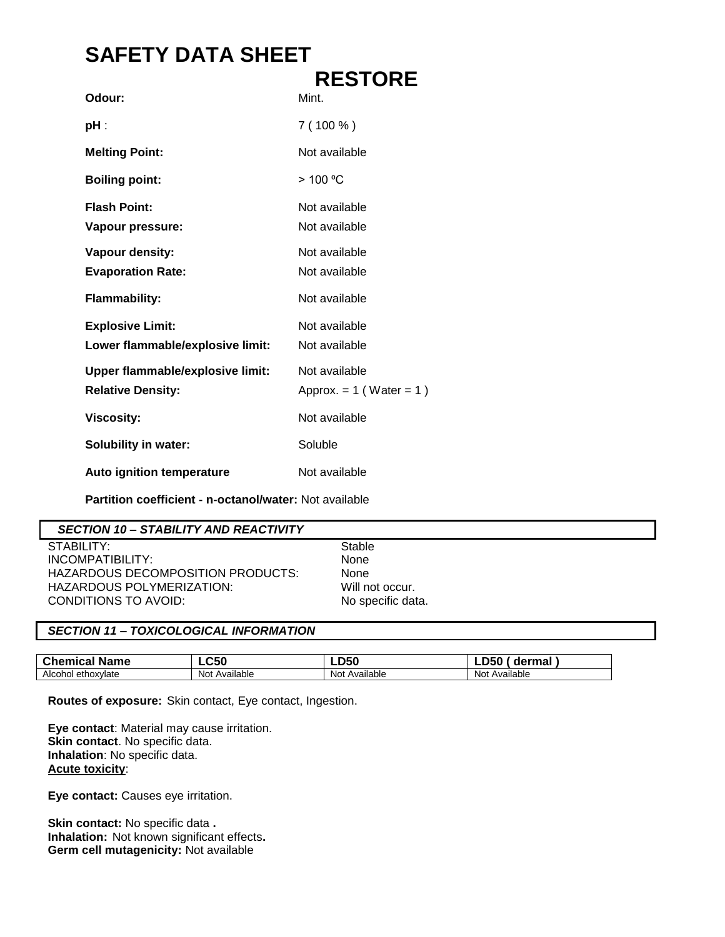## **SAFETY DATA SHEET**

|                                         | <b>RESTORE</b>               |
|-----------------------------------------|------------------------------|
| Odour:                                  | Mint.                        |
| pH :                                    | $7(100\%)$                   |
| <b>Melting Point:</b>                   | Not available                |
| <b>Boiling point:</b>                   | >100 °C                      |
| <b>Flash Point:</b>                     | Not available                |
| Vapour pressure:                        | Not available                |
| Vapour density:                         | Not available                |
| <b>Evaporation Rate:</b>                | Not available                |
| <b>Flammability:</b>                    | Not available                |
| <b>Explosive Limit:</b>                 | Not available                |
| Lower flammable/explosive limit:        | Not available                |
| <b>Upper flammable/explosive limit:</b> | Not available                |
| <b>Relative Density:</b>                | Approx. $= 1$ (Water $= 1$ ) |
| <b>Viscosity:</b>                       | Not available                |
| <b>Solubility in water:</b>             | Soluble                      |
| Auto ignition temperature               | Not available                |

**Partition coefficient - n-octanol/water:** Not available

## *SECTION 10 – STABILITY AND REACTIVITY*

STABILITY: STABILITY: INCOMPATIBILITY: None HAZARDOUS DECOMPOSITION PRODUCTS: None HAZARDOUS POLYMERIZATION: Will not occur. CONDITIONS TO AVOID: No specific data.

## *SECTION 11 – TOXICOLOGICAL INFORMATION*

| <b>Chemical</b><br><b>Name</b> | LC50              | <b>DEC</b><br>-∟∪            | ermal<br>аe<br>ж              |
|--------------------------------|-------------------|------------------------------|-------------------------------|
| Alcohol<br>ethoxvlate          | Available<br>Not. | $\cdots$<br>Not<br>Available | $\cdots$<br>Available<br>Not. |

**Routes of exposure:** Skin contact, Eye contact, Ingestion.

**Eye contact**: Material may cause irritation. **Skin contact**. No specific data. **Inhalation**: No specific data. **Acute toxicity**:

**Eye contact:** Causes eye irritation.

**Skin contact:** No specific data **. Inhalation:** Not known significant effects**. Germ cell mutagenicity:** Not available